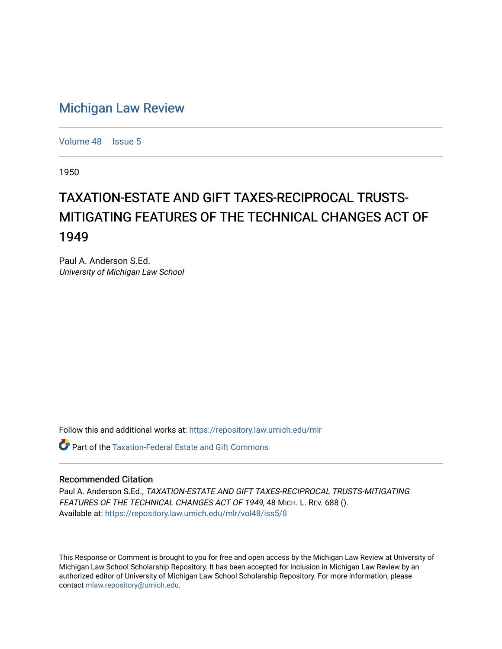## [Michigan Law Review](https://repository.law.umich.edu/mlr)

[Volume 48](https://repository.law.umich.edu/mlr/vol48) | [Issue 5](https://repository.law.umich.edu/mlr/vol48/iss5)

1950

## TAXATION-ESTATE AND GIFT TAXES-RECIPROCAL TRUSTS-MITIGATING FEATURES OF THE TECHNICAL CHANGES ACT OF 1949

Paul A. Anderson S.Ed. University of Michigan Law School

Follow this and additional works at: [https://repository.law.umich.edu/mlr](https://repository.law.umich.edu/mlr?utm_source=repository.law.umich.edu%2Fmlr%2Fvol48%2Fiss5%2F8&utm_medium=PDF&utm_campaign=PDFCoverPages) 

**C** Part of the Taxation-Federal Estate and Gift Commons

## Recommended Citation

Paul A. Anderson S.Ed., TAXATION-ESTATE AND GIFT TAXES-RECIPROCAL TRUSTS-MITIGATING FEATURES OF THE TECHNICAL CHANGES ACT OF 1949, 48 MICH. L. REV. 688 (). Available at: [https://repository.law.umich.edu/mlr/vol48/iss5/8](https://repository.law.umich.edu/mlr/vol48/iss5/8?utm_source=repository.law.umich.edu%2Fmlr%2Fvol48%2Fiss5%2F8&utm_medium=PDF&utm_campaign=PDFCoverPages)

This Response or Comment is brought to you for free and open access by the Michigan Law Review at University of Michigan Law School Scholarship Repository. It has been accepted for inclusion in Michigan Law Review by an authorized editor of University of Michigan Law School Scholarship Repository. For more information, please contact [mlaw.repository@umich.edu](mailto:mlaw.repository@umich.edu).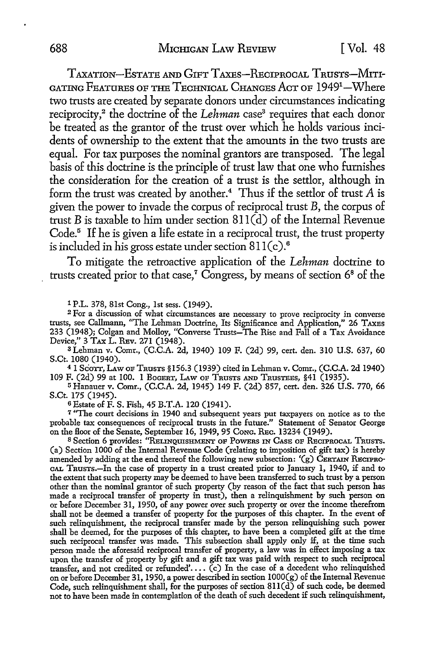TAXATION-ESTATE AND GIFT TAXES-RECIPROCAL T RUSTS-MITI-GATING FEATURES OF THE TECHNICAL CHANGES AcT OF 19491 -Where two trusts are created by separate donors under circumstances indicating reciprocity,<sup>2</sup> the doctrine of the *Lehman* case<sup>3</sup> requires that each donor be treated as the grantor of the trust over which he holds various incidents of ownership to the extent that the amounts in the two trusts are equal. For tax purposes the nominal grantors are transposed. The legal basis of this doctrine is the principle of trust law that one who furnishes the consideration for the creation of a trust is the settlor, although in form the trust was created by another.<sup>4</sup> Thus if the settlor of trust  $A$  is given the power to invade the corpus of reciprocal trust B, the corpus of trust B is taxable to him under section  $811\overline{d}$  of the Internal Revenue Code.<sup>5</sup> If he is given a life estate in a reciprocal trust, the trust property is included in his gross estate under section  $811(c).$ <sup>6</sup>

To mitigate the retroactive application of the *Lehman* doctrine to trusts created prior to that case,<sup>7</sup> Congress, by means of section  $6^8$  of the

1 P.L. 378, 81st Cong., 1st sess. (1949).

<sup>2</sup>For a discussion of what circumstances are necessary to prove reciprocity in converse trusts, see Callmann, "The Lehman Doctrine, Its Significance and Application," 26 TAXBS 233 (1948); Colgan and Molloy, "Converse Trusts-The Rise and Fall of a Tax Avoidance Device," 3 TAX L. REv. 271 (1948).

<sup>3</sup>Lehman v. Comr., (C.C.A. 2d, 1940) 109 F. (2d) 99, cert. den. 310 U.S. 637, 60 S.Ct. 1080 (1940).

<sup>4</sup>I Scorr, LAw oF TRUSTS § 156.3 (1939) cited in Lehman v. Comr., (C.C.A. 2d 1940) 109 F. (2d) 99 at 100. I BoGERT, LAw OF TRUSTS AND TRUSTEES, §41 (1935).

<sup>5</sup>Hanauer v. Comr., (C.C.A. 2d, 1945) 149 F. (2d) 857, cert. den. 326 U.S. 770, 66 S.Ct. 175 (1945).

<sup>6</sup>Estate of F. S. Fish, 45 B.T.A. 120 (1941).

<sup>7</sup>"The court decisions in 1940 and subsequent years put taxpayers on notice as to the probable tax consequences of reciprocal trusts in the future." Statement of Senator George on the Hoor of the Senate, September 16, 1949, 95 CoNG. REc. 13234 (1949).

s Section 6 provides: "REuNQUISHMENT OF PoWERS IN CASE OF RECIPROCAL TRUSTS. (a) Section 1000 of the Internal Revenue Code (relating to imposition of gift tax) is hereby amended by adding at the end thereof the following new subsection: ' $(g)$  CERTAIN RECIPRO-CAL TRusTs.-In the case of property in a trust created prior to January I, 1940, if and to the extent that such property may be deemed to have been transferred to such trust by a person other than the nominal grantor of such property (by reason of the fact that such person has made a reciprocal transfer of property in trust), then a relinquishment by such person on or before December 31, 1950, of any power over such property or over the income therefrom shall not be deemed a transfer of property for the purposes of this chapter. In the event of such relinquishment, the reciprocal transfer made by the person relinquishing such power shall be deemed, for the purposes of this chapter, to have been a completed gift at the time such reciprocal transfer was made. This subsection shall apply only if, at the time such person made the aforesaid reciprocal transfer of property, a law was in effect imposing a tax upon the transfer of property by gift and a gift tax was paid with respect to such reciprocal transfer, and not credited or refunded'....  $(c)$  In the case of a decedent who relinquished on or before December 31, 1950, a power described in section lO00(g) of the Internal Revenue Code, such relinquishment shall, for the purposes of section  $811(\overrightarrow{d)}$  of such code, be deemed not to have been made in contemplation of the death of such decedent if such relinquishment,